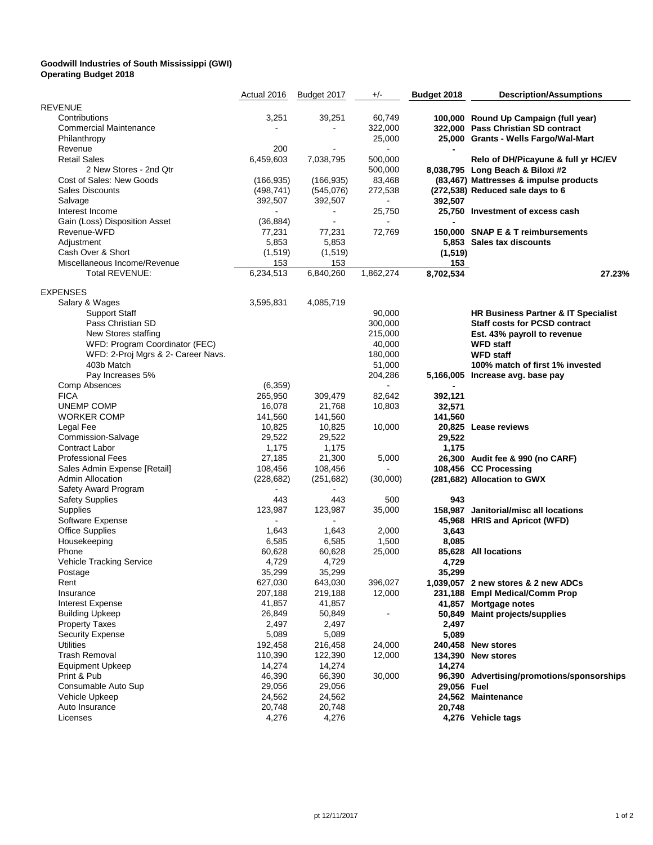## **Goodwill Industries of South Mississippi (GWI) Operating Budget 2018**

|                                    | Actual 2016 | Budget 2017    | $+/-$     | Budget 2018 | <b>Description/Assumptions</b>                                          |
|------------------------------------|-------------|----------------|-----------|-------------|-------------------------------------------------------------------------|
| <b>REVENUE</b>                     |             |                |           |             |                                                                         |
| Contributions                      | 3,251       | 39,251         | 60,749    |             | 100,000 Round Up Campaign (full year)                                   |
| <b>Commercial Maintenance</b>      |             |                | 322,000   |             | 322,000 Pass Christian SD contract                                      |
| Philanthropy                       |             |                | 25,000    |             | 25,000 Grants - Wells Fargo/Wal-Mart                                    |
| Revenue                            | 200         |                |           |             |                                                                         |
| <b>Retail Sales</b>                | 6,459,603   | 7,038,795      | 500,000   |             |                                                                         |
| 2 New Stores - 2nd Qtr             |             |                |           |             | Relo of DH/Picayune & full yr HC/EV<br>8,038,795 Long Beach & Biloxi #2 |
|                                    |             |                | 500,000   |             |                                                                         |
| Cost of Sales: New Goods           | (166, 935)  | (166, 935)     | 83,468    |             | (83,467) Mattresses & impulse products                                  |
| <b>Sales Discounts</b>             | (498, 741)  | (545,076)      | 272,538   |             | (272,538) Reduced sale days to 6                                        |
| Salvage                            | 392,507     | 392,507        |           | 392,507     |                                                                         |
| Interest Income                    |             |                | 25,750    |             | 25,750 Investment of excess cash                                        |
| Gain (Loss) Disposition Asset      | (36, 884)   | $\blacksquare$ |           |             |                                                                         |
| Revenue-WFD                        | 77,231      | 77,231         | 72,769    |             | 150,000 SNAP E & T reimbursements                                       |
| Adjustment                         | 5,853       | 5,853          |           |             | 5,853 Sales tax discounts                                               |
| Cash Over & Short                  | (1, 519)    | (1, 519)       |           | (1, 519)    |                                                                         |
| Miscellaneous Income/Revenue       | 153         | 153            |           | 153         |                                                                         |
| Total REVENUE:                     | 6,234,513   | 6,840,260      | 1,862,274 | 8,702,534   | 27.23%                                                                  |
| <b>EXPENSES</b>                    |             |                |           |             |                                                                         |
| Salary & Wages                     | 3,595,831   | 4,085,719      |           |             |                                                                         |
| <b>Support Staff</b>               |             |                | 90,000    |             | HR Business Partner & IT Specialist                                     |
| Pass Christian SD                  |             |                | 300,000   |             | <b>Staff costs for PCSD contract</b>                                    |
| New Stores staffing                |             |                | 215,000   |             | Est. 43% payroll to revenue                                             |
| WFD: Program Coordinator (FEC)     |             |                | 40,000    |             | <b>WFD staff</b>                                                        |
|                                    |             |                |           |             |                                                                         |
| WFD: 2-Proj Mgrs & 2- Career Navs. |             |                | 180,000   |             | <b>WFD staff</b>                                                        |
| 403b Match                         |             |                | 51,000    |             | 100% match of first 1% invested                                         |
| Pay Increases 5%                   |             |                | 204,286   |             | 5,166,005 Increase avg. base pay                                        |
| <b>Comp Absences</b>               | (6, 359)    |                |           |             |                                                                         |
| <b>FICA</b>                        | 265,950     | 309,479        | 82,642    | 392,121     |                                                                         |
| UNEMP COMP                         | 16,078      | 21,768         | 10,803    | 32,571      |                                                                         |
| <b>WORKER COMP</b>                 | 141,560     | 141,560        |           | 141,560     |                                                                         |
| Legal Fee                          | 10,825      | 10,825         | 10,000    |             | 20,825 Lease reviews                                                    |
| Commission-Salvage                 | 29,522      | 29,522         |           | 29,522      |                                                                         |
| Contract Labor                     | 1,175       | 1,175          |           | 1,175       |                                                                         |
| <b>Professional Fees</b>           | 27,185      | 21,300         | 5,000     |             | 26,300 Audit fee & 990 (no CARF)                                        |
| Sales Admin Expense [Retail]       | 108,456     | 108,456        |           |             | 108,456 CC Processing                                                   |
| <b>Admin Allocation</b>            | (228, 682)  | (251, 682)     | (30,000)  |             | (281,682) Allocation to GWX                                             |
| Safety Award Program               |             |                |           |             |                                                                         |
| <b>Safety Supplies</b>             | 443         | 443            | 500       | 943         |                                                                         |
| Supplies                           | 123,987     | 123,987        | 35,000    |             | 158,987 Janitorial/misc all locations                                   |
| Software Expense                   |             |                |           |             | 45,968 HRIS and Apricot (WFD)                                           |
| <b>Office Supplies</b>             | 1,643       | 1,643          | 2,000     | 3,643       |                                                                         |
| Housekeeping                       | 6,585       | 6,585          | 1,500     | 8,085       |                                                                         |
| Phone                              | 60,628      | 60,628         | 25,000    |             | 85,628 All locations                                                    |
| Vehicle Tracking Service           | 4,729       | 4,729          |           | 4,729       |                                                                         |
| Postage                            | 35,299      | 35,299         |           | 35,299      |                                                                         |
| Rent                               | 627,030     | 643,030        | 396,027   |             | 1,039,057 2 new stores & 2 new ADCs                                     |
| Insurance                          | 207,188     | 219,188        | 12,000    |             | 231,188 Empl Medical/Comm Prop                                          |
| Interest Expense                   | 41,857      | 41,857         |           |             | 41,857 Mortgage notes                                                   |
|                                    |             |                |           |             |                                                                         |
| <b>Building Upkeep</b>             | 26,849      | 50,849         |           |             | 50,849 Maint projects/supplies                                          |
| <b>Property Taxes</b>              | 2,497       | 2,497          |           | 2,497       |                                                                         |
| <b>Security Expense</b>            | 5,089       | 5,089          |           | 5,089       |                                                                         |
| <b>Utilities</b>                   | 192,458     | 216,458        | 24,000    |             | 240,458 New stores                                                      |
| <b>Trash Removal</b>               | 110,390     | 122,390        | 12,000    |             | 134,390 New stores                                                      |
| <b>Equipment Upkeep</b>            | 14,274      | 14,274         |           | 14,274      |                                                                         |
| Print & Pub                        | 46,390      | 66,390         | 30,000    |             | 96,390 Advertising/promotions/sponsorships                              |
| Consumable Auto Sup                | 29,056      | 29,056         |           | 29,056 Fuel |                                                                         |
| Vehicle Upkeep                     | 24,562      | 24,562         |           |             | 24,562 Maintenance                                                      |
| Auto Insurance                     | 20,748      | 20,748         |           | 20,748      |                                                                         |
| Licenses                           | 4,276       | 4,276          |           |             | 4,276 Vehicle tags                                                      |